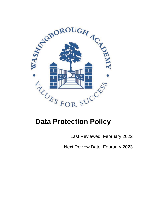

# **Data Protection Policy**

Last Reviewed: February 2022

Next Review Date: February 2023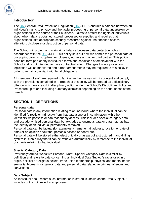

## **Introduction**

The UK General Data Protection Regulation (UK GDPR) ensures a balance between an individual's rights to privacy and the lawful processing of personal data undertaken by organisations in the course of their business. It aims to protect the rights of individuals about whom data is obtained, stored, processed or supplied and requires that organisations take appropriate security measures against unauthorised access, alteration, disclosure or destruction of personal data.

The School will protect and maintain a balance between data protection rights in accordance with the UK GDPR. This policy sets out how we handle the personal data of our pupils, parents, suppliers, employees, workers and other third parties. This policy does not form part of any individual's terms and conditions of employment with the School and is not intended to have contractual effect. Changes to data protection legislation will be monitored and further amendments may be required to this policy in order to remain compliant with legal obligations.

All members of staff are required to familiarise themselves with its content and comply with the provisions contained in it. Breach of this policy will be treated as a disciplinary offence which may result in disciplinary action under the School's Disciplinary Policy and Procedure up to and including summary dismissal depending on the seriousness of the breach.

## **SECTION 1 - DEFINITIONS**

#### **Personal data**

Personal data is any information relating to an individual where the individual can be identified (directly or indirectly) from that data alone or in combination with other identifiers we possess or can reasonably access. This includes special category data and pseudonymised personal data but excludes anonymous data or data that has had the identity of an individual permanently removed.

Personal data can be factual (for examples a name, email address, location or date of birth) or an opinion about that person's actions or behaviour.

Personal data will be stored either electronically or as part of a structured manual filing system in such a way that it can be retrieved automatically by reference to the individual or criteria relating to that individual.

#### **Special Category Data**

Previously termed "Sensitive Personal Data", Special Category Data is similar by definition and refers to data concerning an individual Data Subject's racial or ethnic origin, political or religious beliefs, trade union membership, physical and mental health, sexuality, biometric or genetic data and personal data relating to criminal offences and convictions.

#### **Data Subject**

An individual about whom such information is stored is known as the Data Subject. It includes but is not limited to employees.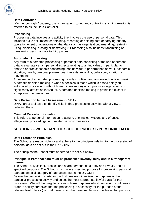

#### **Data Controller**

Washingborough Academy, the organisation storing and controlling such information is referred to as the Data Controller.

#### **Processing**

Processing data involves any activity that involves the use of personal data. This includes but is not limited to: obtaining, recording or holding data or carrying out any operation or set of operations on that data such as organisation, amending, retrieving using, disclosing, erasing or destroying it. Processing also includes transmitting or transferring personal data to third parties.

#### **Automated Processing**

Any form of automated processing of personal data consisting of the use of personal data to evaluate certain personal aspects relating to an individual, in particular to analyse or predict aspects concerning that individual's performance at work, economic situation, health, personal preferences, interests, reliability, behaviour, location or movements.

An example of automated processing includes profiling and automated decision making. Automatic decision-making is when a decision is made which is based solely on automated processing (without human intervention) which produces legal effects or significantly affects an individual. Automated decision making is prohibited except in exceptional circumstances.

#### **Data Protection Impact Assessment (DPIA)**

DPIAs are a tool used to identify risks in data processing activities with a view to reducing them.

#### **Criminal Records Information**

This refers to personal information relating to criminal convictions and offences, allegations, proceedings, and related security measures.

# **SECTION 2 - WHEN CAN THE SCHOOL PROCESS PERSONAL DATA**

#### **Data Protection Principles**

The School are responsible for and adhere to the principles relating to the processing of personal data as set out in the UK GDPR.

The principles the School must adhere to are set out below.

#### **Principle 1: Personal data must be processed lawfully, fairly and in a transparent manner**

The School only collect, process and share personal data fairly and lawfully and for specified purposes. The School must have a specified purpose for processing personal data and special category of data as set out in the UK GDPR.

Before the processing starts for the first time we will review the purposes of the particular processing activity and select the most appropriate lawful basis for that processing. We will then regularly review those purposes whilst processing continues in order to satisfy ourselves that the processing is necessary for the purpose of the relevant lawful basis (i.e. that there is no other reasonable way to achieve that purpose).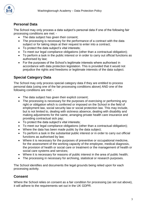

## **Personal Data**

The School may only process a data subject's personal data if one of the following fair processing conditions are met: -

- The data subject has given their consent;
- The processing is necessary for the performance of a contract with the data subject or for taking steps at their request to enter into a contract;
- To protect the data subject's vital interests;
- To meet our legal compliance obligations (other than a contractual obligation);
- To perform a task in the public interest or in order to carry out official functions as authorised by law;
- For the purposes of the School's legitimate interests where authorised in accordance with data protection legislation. This is provided that it would not prejudice the rights and freedoms or legitimate interests of the data subject.

# **Special Category Data**

The School may only process special category data if they are entitled to process personal data (using one of the fair processing conditions above) AND one of the following conditions are met: -

- The data subject has given their explicit consent;
- The processing is necessary for the purposes of exercising or performing any right or obligation which is conferred or imposed on the School in the field of employment law, social security law or social protection law. This may include, but is not limited to, dealing with sickness absence, dealing with disability and making adjustments for the same, arranging private health care insurance and providing contractual sick pay;
- To protect the data subiect's vital interests:
- To meet our legal compliance obligations (other than a contractual obligation);
- Where the data has been made public by the data subject;
- To perform a task in the substantial public interest or in order to carry out official functions as authorised by law;
- Where it is necessary for the purposes of preventive or occupational medicine, for the assessment of the working capacity of the employee, medical diagnosis, the provision of health or social care or treatment or the management of health or social care systems and services;
- Where it is necessary for reasons of public interest in the area of public health;
- The processing in necessary for archiving, statistical or research purposes.

The School identifies and documents the legal grounds being relied upon for each processing activity.

## **Consent**

Where the School relies on consent as a fair condition for processing (as set out above). it will adhere to the requirements set out in the UK GDPR.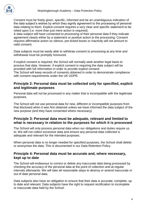

Consent must be freely given, specific, informed and be an unambiguous indication of the data subject's wishes by which they signify agreement to the processing of personal data relating to them. Explicit consent requires a very clear and specific statement to be relied upon (i.e. more than just mere action is required).

A data subject will have consented to processing of their personal data if they indicate agreement clearly either by a statement or positive action to the processing. Consent requires affirmative action so silence, pre-ticked boxes or inactivity will not amount to valid consent.

Data subjects must be easily able to withdraw consent to processing at any time and withdrawal must be promptly honoured.

If explicit consent is required, the School will normally seek another legal basis to process that data. However, if explicit consent is requiring the data subject will be provided with full information in order to provide explicit consent.

The School will keep records of consents obtained in order to demonstrate compliance with consent requirements under the UK GDPR.

## **Principle 2: Personal data must be collected only for specified, explicit and legitimate purposes**

Personal data will not be processed in any matter that is incompatible with the legitimate purposes.

The School will not use personal data for new, different or incompatible purposes from that disclosed when it was first obtained unless we have informed the data subject of the new purpose (and they have consented where necessary).

## **Principle 3: Personal data must be adequate, relevant and limited to what is necessary in relation to the purposes for which it is processed**

The School will only process personal data when our obligations and duties require us to. We will not collect excessive data and ensure any personal data collected is adequate and relevant for the intended purposes.

When personal data is no longer needed for specified purposes, the School shall delete or anonymise the data. This is documented in our Data Retention Policy.

## **Principle 4: Personal data must be accurate and, where necessary, kept up to date**

The School will endeavour to correct or delete any inaccurate data being processed by checking the accuracy of the personal data at the point of collection and at regular intervals afterwards. We will take all reasonable steps to destroy or amend inaccurate or out of date personal data.

Data subjects also have an obligation to ensure that their data is accurate, complete, up to date and relevant. Data subjects have the right to request rectification to incomplete or inaccurate data held by the School.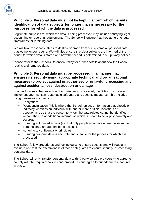

## **Principle 5: Personal data must not be kept in a form which permits identification of data subjects for longer than is necessary for the purposes for which the data is processed**

Legitimate purposes for which the data is being processed may include satisfying legal, accounting or reporting requirements. The School will ensure that they adhere to legal timeframes for retaining data.

We will take reasonable steps to destroy or erase from our systems all personal data that we no longer require. We will also ensure that data subjects are informed of the period for which data is stored and how that period is determined in our privacy notices.

Please refer to the School's Retention Policy for further details about how the School retains and removes data.

## **Principle 6: Personal data must be processed in a manner that ensures its security using appropriate technical and organisational measures to protect against unauthorised or unlawful processing and against accidental loss, destruction or damage**

In order to assure the protection of all data being processed, the School will develop, implement and maintain reasonable safeguard and security measures. This includes using measures such as: -

- Encryption;
- Pseudonymisation (this is where the School replaces information that directly or indirectly identifies an individual with one or more artificial identifiers or pseudonyms so that the person to whom the data relates cannot be identified without the use of additional information which is meant to be kept separately and secure);
- Ensuring authorised access (i.e. that only people who have a need to know the personal data are authorised to access it);
- Adhering to confidentiality principles;
- Ensuring personal data is accurate and suitable for the process for which it is processed.

The School follow procedures and technologies to ensure security and will regularly evaluate and test the effectiveness of those safeguards to ensure security in processing personal data.

The School will only transfer personal data to third party service providers who agree to comply with the required policies and procedures and agree to put adequate measures in place.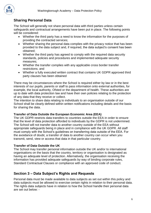

# **Sharing Personal Data**

The School will generally not share personal data with third parties unless certain safeguards and contractual arrangements have been put in place. The following points will be considered:

- Whether the third party has a need to know the information for the purposes of providing the contracted services;
- Whether sharing the personal data complies with the privacy notice that has been provided to the data subject and, if required, the data subject's consent has been obtained;
- Whether the third party has agreed to comply with the required data security standards, policies and procedures and implemented adequate security measures;
- Whether the transfer complies with any applicable cross border transfer restrictions; and
- Whether a fully executed written contract that contains UK GDPR approved third party clauses has been obtained

There may be circumstances where the School is required either by law or in the best interests of our pupils, parents or staff to pass information onto external authorities, for example, the local authority, Ofsted or the department of health. These authorities are up to date with data protection law and have their own policies relating to the protection of any data that they receive or collect.

The intention to share data relating to individuals to an organisation outside of our School shall be clearly defined within written notifications including details and the basis for sharing the data.

#### **Transfer of Data Outside the European Economic Area (EEA)**

The UK GDPR restricts data transfers to countries outside the EEA in order to ensure that the level of data protection afforded to individuals by the GDPR is not undermined. The School will not transfer data to another country outside of the EEA without appropriate safeguards being in place and in compliance with the UK GDPR. All staff must comply with the School's guidelines on transferring data outside of the EEA. For the avoidance of doubt, a transfer of data to another country can occur when you transmit, send, view or access that data in that particular country.

#### **Transfer of Data Outside the UK**

The School may transfer personal information outside the UK and/or to international organisations on the basis that the country, territory or organisation is designated as having an adequate level of protection. Alternatively, the organisation receiving the information has provided adequate safeguards by way of binding corporate rules, Standard Contractual Clauses or compliance with an approved code of conduct.

## **Section 3 – Data Subject's Rights and Requests**

Personal data must be made available to data subjects as set out within this policy and data subjects must be allowed to exercise certain rights in relation to their personal data. The rights data subjects have in relation to how the School handle their personal data are set out below: -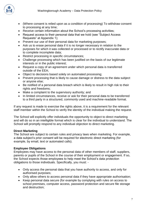

- (Where consent is relied upon as a condition of processing) To withdraw consent to processing at any time;
- Receive certain information about the School's processing activities;
- Request access to their personal data that we hold (see "Subject Access Requests" at Appendix 1);
- Prevent our use of their personal data for marketing purposes;
- Ask us to erase personal data if it is no longer necessary in relation to the purposes for which it was collected or processed or to rectify inaccurate data or to complete incomplete data;
- Restrict processing in specific circumstances;
- Challenge processing which has been justified on the basis of our legitimate interests or in the public interest;
- Request a copy of an agreement under which personal data is transferred outside of the EEA;
- Object to decisions based solely on automated processing;
- Prevent processing that is likely to cause damage or distress to the data subject or anyone else;
- Be notified of a personal data breach which is likely to result in high risk to their rights and freedoms;
- Make a complaint to the supervisory authority; and
- In limited circumstances, receive or ask for their personal data to be transferred to a third party in a structured, commonly used and machine-readable format.

If any request is made to exercise the rights above, it is a requirement for the relevant staff member within the School to verify the identity of the individual making the request.

The School will explicitly offer individuals the opportunity to object to direct marketing and will do so in an intelligible format which is clear for the individual to understand. The School will promptly respond to any individual objection to direct marketing.

#### **Direct Marketing**

The School are subject to certain rules and privacy laws when marketing. For example, a data subject's prior consent will be required for electronic direct marketing (for example, by email, text or automated calls).

#### **Employee Obligations**

Employees may have access to the personal data of other members of staff, suppliers, parents or pupils of the School in the course of their employment or engagement. If so, the School expects those employees to help meet the School's data protection obligations to those individuals. Specifically, you must: -

- Only access the personal data that you have authority to access, and only for authorised purposes;
- Only allow others to access personal data if they have appropriate authorisation;
- Keep personal data secure (for example by complying with rules on access to school premises, computer access, password protection and secure file storage and destruction;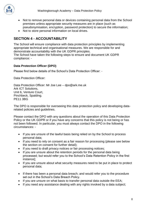

- Not to remove personal data or devices containing personal data from the School premises unless appropriate security measures are in place (such as pseudonymisation, encryption, password protection) to secure the information;
- Not to store personal information on local drives.

# **SECTION 4 - ACCOUNTABILITY**

The School will ensure compliance with data protection principles by implementing appropriate technical and organisational measures. We are responsible for and demonstrate accountability with the UK GDPR principles.

The School have taken the following steps to ensure and document UK GDPR compliance: -

#### **Data Protection Officer (DPO)**

Please find below details of the School's Data Protection Officer: -

Data Protection Officer:

Data Protection Officer: Mr Joe Lee – dpo@ark.me.uk Ark ICT Solutions, Unit 6, Venture Court, Pinchbeck, Spalding. PE11 3BG

The DPO is responsible for overseeing this data protection policy and developing datarelated policies and guidelines.

Please contact the DPO with any questions about the operation of this Data Protection Policy or the UK GDPR or if you have any concerns that this policy is not being or has not been followed. In particular, you must always contact the DPO in the following circumstances: -

- If you are unsure of the lawful basis being relied on by the School to process personal data;
- If you need to rely on consent as a fair reason for processing (please see below the section on consent for further detail);
- If you need to draft privacy notices or fair processing notices;
- If you are unsure about the retention periods for the personal data being processed; but would refer you to the School's Data Retention Policy in the first instance];
- If you are unsure about what security measures need to be put in place to protect personal data;
- If there has been a personal data breach; and would refer you to the procedure set out in the School's Data Breach Policy.
- If you are unsure on what basis to transfer personal data outside the EEA;
- If you need any assistance dealing with any rights invoked by a data subject: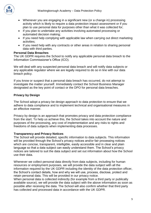

- Whenever you are engaging in a significant new (or a change in) processing activity which is likely to require a data protection impact assessment or if you plan to use personal data for purposes other than what it was collected for;
- If you plan to undertake any activities involving automated processing or automated decision making;
- If you need help complying with applicable law when carrying out direct marketing activities;
- If you need help with any contracts or other areas in relation to sharing personal data with third parties.

#### **Personal Data Breaches**

The UK GDPR requires the School to notify any applicable personal data breach to the Information Commissioner's Office (ICO).

We will deal with any suspected personal data breach and will notify data subjects or any applicable regulator where we are legally required to do so in line with our data breach policy.

If you know or suspect that a personal data breach has occurred, do not attempt to investigate the matter yourself. Immediately contact the School Business Manager designated as the key point of contact or the DPO for personal data breaches.

#### **Privacy by Design**

The School adopt a privacy be design approach to data protection to ensure that we adhere to data compliance and to implement technical and organisational measures in an effective manner.

Privacy by design is an approach that promotes privacy and data protection compliance from the start. To help us achieve this, the School takes into account the nature and purposes of the processing, any cost of implementation and any risks to rights and freedoms of data subjects when implementing data processes.

#### **Transparency and Privacy Notices**

The School will provide detailed, specific information to data subjects. This information will be provided through the School's privacy notices and/or fair processing notices which are concise, transparent, intelligible, easily accessible and in clear and plain language so that a data subject can easily understand them. The School's privacy notices are tailored to suit the data subject and set out information about how the School use their data.

Whenever we collect personal data directly from data subjects, including for human resources or employment purposes, we will provide the data subject with all the information required by the UK GDPR including the identity of the data protection officer, the School's contact details, how and why we will use, process, disclose, protect and retain personal data. This will be provided in our privacy notice.

When personal data is collected indirectly (for example from a third party or publically available source), we will provide the data subject with the above information as soon as possible after receiving the data. The School will also confirm whether that third party has collected and processed data in accordance with the UK GDPR.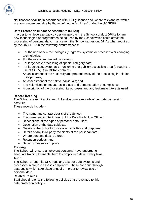

Notifications shall be in accordance with ICO guidance and, where relevant, be written in a form understandable by those defined as "children" under the UK GDPR.

#### **Data Protection Impact Assessments (DPIAs)**

In order to achieve a privacy by design approach, the School conduct DPIAs for any new technologies or programmes being used by the School which could affect the processing of personal data. In any event the School carries out DPIAs when required by the UK GDPR in the following circumstances: -

- For the use of new technologies (programs, systems or processes) or changing technologies;
- For the use of automated processing;
- For large scale processing of special category data;
- For large scale, systematic monitoring of a publicly accessible area (through the use of CCTV). Our DPIAs contain: -
- An assessment of the necessity and proportionality of the processing in relation to its purpose;
- An assessment of the risk to individuals; and
- The risk mitigation measures in place and demonstration of compliance.
- A description of the processing, its purposes and any legitimate interests used;

#### **Record Keeping**

The School are required to keep full and accurate records of our data processing activities.

These records include: -

- The name and contact details of the School;
- The name and contact details of the Data Protection Officer;
- Descriptions of the types of personal data used;
- Description of the data subjects;
- Details of the School's processing activities and purposes;
- Details of any third-party recipients of the personal data;
- Where personal data is stored;
- Retention periods; and
- Security measures in place.

#### **Training**

The School will ensure all relevant personnel have undergone adequate training to enable them to comply with data privacy laws.

#### **Audit**

The School through its DPO regularly test our data systems and processes in order to assess compliance. These are done through data audits which take place annually in order to review use of personal data.

#### **Related Policies**

Staff should refer to the following policies that are related to this data protection policy: -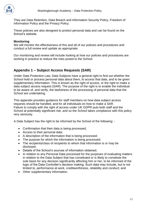

They are Data Retention, Data Breach and Information Security Policy, Freedom of Information Policy and the Privacy Policy.

These policies are also designed to protect personal data and can be found on the School's website.

#### **Monitoring**

We will monitor the effectiveness of this and all of our policies and procedures and conduct a full review and update as appropriate.

Our monitoring and review will include looking at how our policies and procedures are working in practice to reduce the risks posed to the School.

## **Appendix 1 – Subject Access Requests (SAR)**

Under Data Protection Law, Data Subjects have a general right to find out whether the School hold or process personal data about them, to access that data, and to be given supplementary information. This is known as the right of access, or the right to make a data subject access request (SAR). The purpose of the right is to enable the individual to be aware of, and verify, the lawfulness of the processing of personal data that the School are undertaking.

This appendix provides guidance for staff members on how data subject access requests should be handled, and for all individuals on how to make a SAR. Failure to comply with the right of access under UK GDPR puts both staff and the School at potentially significant risk, and so the School takes compliance with this policy very seriously.

A Data Subject has the right to be informed by the School of the following: -

- Confirmation that their data is being processed;
- Access to their personal data;
- A description of the information that is being processed;
- The purpose for which the information is being processed;
- The recipients/class of recipients to whom that information is or may be disclosed;
- Details of the School's sources of information obtained;
- In relation to any Personal Data processed for the purposes of evaluating matters in relation to the Data Subject that has constituted or is likely to constitute the sole basis for any decision significantly affecting him or her, to be informed of the logic of the Data Controller's decision making. Such data may include, but is not limited to, performance at work, creditworthiness, reliability and conduct; and
- Other supplementary information.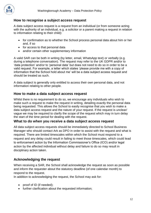

## **How to recognise a subject access request**

A data subject access request is a request from an individual (or from someone acting with the authority of an individual, e.g. a solicitor or a parent making a request in relation to information relating to their child):

- for confirmation as to whether the School process personal data about him or her and, if so
- for access to that personal data
- and/or certain other supplementary information

A valid SAR can be both in writing (by letter, email, WhatsApp text) or verbally (e.g. during a telephone conversation). The request may refer to the UK GDPR and/or to 'data protection' and/or to 'personal data' but does not need to do so in order to be a valid request. For example, a letter which states 'please provide me with a copy of information that the School hold about me' will be a data subject access request and should be treated as such.

A data subject is generally only entitled to access their own personal data, and not information relating to other people.

## **How to make a data subject access request**

Whilst there is no requirement to do so, we encourage any individuals who wish to make such a request to make the request in writing, detailing exactly the personal data being requested. This allows the School to easily recognise that you wish to make a data subject access request and the nature of your request. If the request is unclear/ vague we may be required to clarify the scope of the request which may in turn delay the start of the time period for dealing with the request.

#### **What to do when you receive a data subject access request**

All data subject access requests should be immediately directed to School Business Manager who should contact Ark as DPO in order to assist with the request and what is required. There are limited timescales within which the School must respond to a request and any delay could result in failing to meet those timescales, which could lead to enforcement action by the Information Commissioner's Office (ICO) and/or legal action by the affected individual without delay and failure to do so may result in disciplinary action taken.

## **Acknowledging the request**

When receiving a SAR, the School shall acknowledge the request as soon as possible and inform the requester about the statutory deadline (of one calendar month) to respond to the request.

In addition to acknowledging the request, the School may ask for:

- proof of ID (if needed);
- further clarification about the requested information;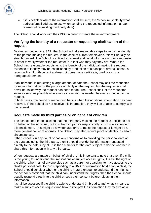

• if it is not clear where the information shall be sent, the School must clarify what address/email address to use when sending the requested information; and/or consent (if requesting third party data).

The School should work with their DPO in order to create the acknowledgment.

## **Verifying the identity of a requester or requesting clarification of the request**

Before responding to a SAR, the School will take reasonable steps to verify the identity of the person making the request. In the case of current employees, this will usually be straightforward. The School is entitled to request additional information from a requester in order to verify whether the requester is in fact who they say they are. Where the School has reasonable doubts as to the identity of the individual making the request, evidence of identity may be established by production of a passport, driving license, a recent utility bill with current address, birth/marriage certificate, credit card or a mortgage statement.

If an individual is requesting a large amount of data the School may ask the requester for more information for the purpose of clarifying the request, but the requester shall never be asked why the request has been made. The School shall let the requestor know as soon as possible where more information is needed before responding to the request.

In both cases, the period of responding begins when the additional information has been received. If the School do not receive this information, they will be unable to comply with the request.

## **Requests made by third parties or on behalf of children**

The school need to be satisfied that the third party making the request is entitled to act on behalf of the individual, but it is the third party's responsibility to provide evidence of this entitlement. This might be a written authority to make the request or it might be a more general power of attorney. The School may also require proof of identity in certain circumstances.

If the School is in any doubt or has any concerns as to providing the personal data of the data subject to the third party, then it should provide the information requested directly to the data subject. It is then a matter for the data subject to decide whether to share this information with any third party.

When requests are made on behalf of children, it is important to note that even if a child is too young to understand the implications of subject access rights, it is still the right of the child, rather than of anyone else such as a parent or guardian, to have access to the child's personal data. Before responding to a SAR for information held about a child, the School should consider whether the child is mature enough to understand their rights. If the school is confident that the child can understand their rights, then the School should usually respond directly to the child or seek their consent before releasing their information.

It shall be assessed if the child is able to understand (in broad terms) what it means to make a subject access request and how to interpret the information they receive as a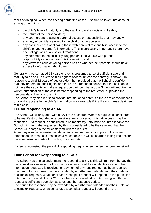

result of doing so. When considering borderline cases, it should be taken into account, among other things:

- the child's level of maturity and their ability to make decisions like this;
- the nature of the personal data:
- any court orders relating to parental access or responsibility that may apply;
- any duty of confidence owed to the child or young person:
- any consequences of allowing those with parental responsibility access to the child's or young person's information. This is particularly important if there have been allegations of abuse or ill treatment;
- any detriment to the child or young person if individuals with parental responsibility cannot access this information; and
- any views the child or young person has on whether their parents should have access to information about them.

Generally, a person aged 12 years or over is presumed to be of sufficient age and maturity to be able to exercise their right of access, unless the contrary is shown. In relation to a child 12 years of age or older, then provided that the School is confident that they understand their rights, and there is no reason to believe that the child does not have the capacity to make a request on their own behalf, the School will require the written authorisation of the child before responding to the requester, or provide the personal data directly to the child.

The School may also refuse to provide information to parents if there are consequences of allowing access to the child's information – for example if it is likely to cause detriment to the child.

## **Fee for responding to a SAR**

The School will usually deal with a SAR free of charge. Where a request is considered to be manifestly unfounded or excessive a fee to cover administrative costs may be requested. If a request is considered to be manifestly unfounded or unreasonable the School will inform the requester why this is considered to be the case and that the School will charge a fee for complying with the request.

A fee may also be requested in relation to repeat requests for copies of the same information. In these circumstances a reasonable fee will be charged taking into account the administrative costs of providing the information.

If a fee is requested, the period of responding begins when the fee has been received.

## **Time Period for Responding to a SAR**

The School has one calendar month to respond to a SAR. This will run from the day that the request was received or from the day when any additional identification or other information requested is received, or payment of any required fee has been received. The period for response may be extended by a further two calendar months in relation to complex requests. What constitutes a complex request will depend on the particular nature of the request. The DPO must always be consulted in determining whether a request is sufficiently complex as to extend the response period.

The period for response may be extended by a further two calendar months in relation to complex requests. What constitutes a complex request will depend on the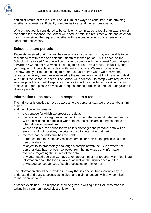

particular nature of the request. The DPO must always be consulted in determining whether a request is sufficiently complex as to extend the response period.

Where a request is considered to be sufficiently complex as to require an extension of the period for response, the School will need to notify the requester within one calendar month of receiving the request, together with reasons as to why this extension is considered necessary.

## **School closure periods**

Requests received during or just before school closure periods may not be able to be responded to within the one calendar month response period. This is because the School will be closed / no one will be on site to comply with the request / our mail gets forwarded / we do not review emails during this period. As a result, it is unlikely that your request will be able to be dealt with during this time. We may not be able to acknowledge your request during this time (i.e. until a time when we receive the request), however, if we can acknowledge the request we may still not be able to deal with it until the School re-opens. The School will endeavour to comply with requests as soon as possible and will keep in communication with you as far as possible. If your request is urgent, please provide your request during term times and not during/close to closure periods.

## **Information to be provided in response to a request**

The individual is entitled to receive access to the personal data we process about him or her.

and the following information:

- the purpose for which we process the data;
- the recipients or categories of recipient to whom the personal data has been or will be disclosed, in particular where those recipients are in third countries or international organisations;
- where possible, the period for which it is envisaged the personal data will be stored, or, if not possible, the criteria used to determine that period;
- the fact that the individual has the right:
- to request that the Company rectifies, erases or restricts the processing of his personal data; or
- to object to its processing; o to lodge a complaint with the ICO; o where the personal data has not been collected from the individual, any information available regarding the source of the data;
- any automated decision we have taken about him or her together with meaningful information about the logic involved, as well as the significance and the envisaged consequences of such processing for him or her.

The information should be provided in a way that is concise, transparent, easy to understand and easy to access using clear and plain language, with any technical terms, abbreviations

or codes explained. The response shall be given in writing if the SAR was made in writing in a commonly-used electronic format.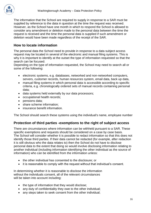

The information that the School are required to supply in response to a SAR must be supplied by reference to the data in question at the time the request was received. However, as the School have one month in which to respond the School is allowed to consider any amendment or deletion made to the personal data between the time the request is received and the time the personal data is supplied if such amendment or deletion would have been made regardless of the receipt of the SAR.

## **How to locate information**

The personal data the School need to provide in response to a data subject access request may be located in several of the electronic and manual filing systems. This is why it is important to identify at the outset the type of information requested so that the search can be focused.

Depending on the type of information requested, the School may need to search all or some of the following:

- electronic systems, e.g. databases, networked and non-networked computers, servers, customer records, human resources system, email data, back up data,
- manual filing systems in which personal data is accessible according to specific criteria, e.g. chronologically ordered sets of manual records containing personal data;
- data systems held externally by our data processors;
- occupational health records;
- pensions data;
- share scheme information:
- insurance benefit information.

The School should search these systems using the individual's name, employee number

## **Protection of third parties -exemptions to the right of subject access**

There are circumstances where information can be withheld pursuant to a SAR. These specific exemptions and requests should be considered on a case by case basis. The School will consider whether it is possible to redact information so that this does not identify those third parties. If their data cannot be redacted (for example, after redaction it is still obvious who the data relates to) then the School do not have to disclose personal data to the extent that doing so would involve disclosing information relating to another individual (including information identifying the other individual as the source of information) who can be identified from the information unless:

- the other individual has consented to the disclosure; or
- it is reasonable to comply with the request without that individual's consent.

In determining whether it is reasonable to disclose the information without the individuals consent, all of the relevant circumstances will be taken into account including:

- the type of information that they would disclose;
- any duty of confidentiality they owe to the other individual;
- any steps taken to seek consent from the other individual;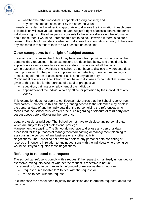- whether the other individual is capable of giving consent; and
- any express refusal of consent by the other individual.

It needs to be decided whether it is appropriate to disclose the information in each case. This decision will involve balancing the data subject's right of access against the other individual's rights. If the other person consents to the school disclosing the information about them, then it would be unreasonable not to do so. However, if there is no such consent, the school must decide whether to disclose the information anyway. If there are any concerns in this regard then the DPO should be consulted.

## **Other exemptions to the right of subject access**

In certain circumstances the School may be exempt from providing some or all of the personal data requested. These exemptions are described below and should only be applied on a case by-case basis after a careful consideration of all the facts. Crime detection and prevention: The School do not have to disclose any personal data being processed for the purposes of preventing or detecting crime; apprehending or prosecuting offenders; or assessing or collecting any tax or duty.

Confidential references: The School do not have to disclose any confidential references given to third parties for the purpose of actual or prospective:

- education, training or employment of the individual;
- appointment of the individual to any office; or provision by the individual of any service

This exemption does not apply to confidential references that the School receive from third parties. However, in this situation, granting access to the reference may disclose the personal data of another individual (i.e. the person giving the reference), which means that the School must consider the rules regarding disclosure of third-party data set out above before disclosing the reference.

Legal professional privilege: The School do not have to disclose any personal data which are subject to legal professional privilege.

Management forecasting: The School do not have to disclose any personal data processed for the purposes of management forecasting or management planning to assist us in the conduct of any business or any other activity.

Negotiations: The School do not have to disclose any personal data consisting of records of intentions in relation to any negotiations with the individual where doing so would be likely to prejudice those negotiations.

# **Refusing to respond to a request**

The school can refuse to comply with a request if the request is manifestly unfounded or excessive, taking into account whether the request is repetitive in nature. If a request is found to be manifestly unfounded or excessive the school can:

- request a "reasonable fee" to deal with the request; or
- refuse to deal with the request.

In either case the school need to justify the decision and inform the requestor about the decision.